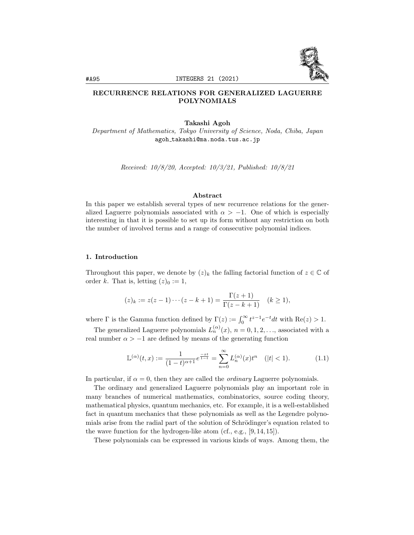

# RECURRENCE RELATIONS FOR GENERALIZED LAGUERRE POLYNOMIALS

## Takashi Agoh

Department of Mathematics, Tokyo University of Science, Noda, Chiba, Japan agoh takashi@ma.noda.tus.ac.jp

Received: 10/8/20, Accepted: 10/3/21, Published: 10/8/21

### Abstract

In this paper we establish several types of new recurrence relations for the generalized Laguerre polynomials associated with  $\alpha > -1$ . One of which is especially interesting in that it is possible to set up its form without any restriction on both the number of involved terms and a range of consecutive polynomial indices.

## 1. Introduction

Throughout this paper, we denote by  $(z)_k$  the falling factorial function of  $z \in \mathbb{C}$  of order k. That is, letting  $(z)_0 := 1$ ,

$$
(z)_k := z(z-1)\cdots(z-k+1) = \frac{\Gamma(z+1)}{\Gamma(z-k+1)} \quad (k \ge 1),
$$

where  $\Gamma$  is the Gamma function defined by  $\Gamma(z) := \int_0^\infty t^{z-1} e^{-t} dt$  with  $\text{Re}(z) > 1$ .

The generalized Laguerre polynomials  $L_n^{(\alpha)}(x)$ ,  $n = 0, 1, 2, \ldots$ , associated with a real number  $\alpha > -1$  are defined by means of the generating function

$$
\mathbb{L}^{(\alpha)}(t,x) := \frac{1}{(1-t)^{\alpha+1}} e^{\frac{-xt}{1-t}} = \sum_{n=0}^{\infty} L_n^{(\alpha)}(x) t^n \quad (|t| < 1). \tag{1.1}
$$

In particular, if  $\alpha = 0$ , then they are called the *ordinary* Laguerre polynomials.

The ordinary and generalized Laguerre polynomials play an important role in many branches of numerical mathematics, combinatorics, source coding theory, mathematical physics, quantum mechanics, etc. For example, it is a well-established fact in quantum mechanics that these polynomials as well as the Legendre polynomials arise from the radial part of the solution of Schrödinger's equation related to the wave function for the hydrogen-like atom (cf., e.g., [9, 14, 15]).

These polynomials can be expressed in various kinds of ways. Among them, the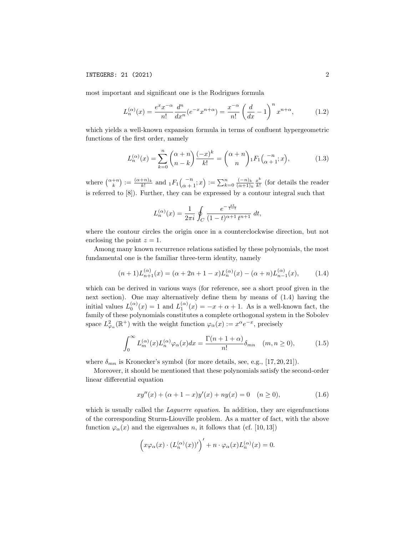most important and significant one is the Rodrigues formula

$$
L_n^{(\alpha)}(x) = \frac{e^x x^{-\alpha}}{n!} \frac{d^n}{dx^n} (e^{-x} x^{n+\alpha}) = \frac{x^{-\alpha}}{n!} \left(\frac{d}{dx} - 1\right)^n x^{n+\alpha},\tag{1.2}
$$

which yields a well-known expansion formula in terms of confluent hypergeometric functions of the first order, namely

$$
L_n^{(\alpha)}(x) = \sum_{k=0}^n \binom{\alpha+n}{n-k} \frac{(-x)^k}{k!} = \binom{\alpha+n}{n} {}_1F_1\binom{-n}{\alpha+1} ; x,
$$
 (1.3)

where  $\binom{\alpha+n}{k} := \frac{(\alpha+n)_k}{k!}$  and  ${}_1F_1\binom{-n}{\alpha+1}$ ;  $x\rangle := \sum_{k=0}^n \frac{(-n)_k}{(\alpha+1)_k}$  $\frac{(-n)_k}{(\alpha+1)_k} \frac{x^k}{k!}$  $\frac{x^{n}}{k!}$  (for details the reader is referred to [8]). Further, they can be expressed by a contour integral such that

$$
L_n^{(\alpha)}(x) = \frac{1}{2\pi i} \oint_C \frac{e^{-\frac{x}{1-t}}}{(1-t)^{\alpha+1} t^{n+1}} dt,
$$

where the contour circles the origin once in a counterclockwise direction, but not enclosing the point  $z = 1$ .

Among many known recurrence relations satisfied by these polynomials, the most fundamental one is the familiar three-term identity, namely

$$
(n+1)L_{n+1}^{(\alpha)}(x) = (\alpha+2n+1-x)L_n^{(\alpha)}(x) - (\alpha+n)L_{n-1}^{(\alpha)}(x),
$$
 (1.4)

which can be derived in various ways (for reference, see a short proof given in the next section). One may alternatively define them by means of (1.4) having the initial values  $L_0^{(\alpha)}(x) = 1$  and  $L_1^{(\alpha)}(x) = -x + \alpha + 1$ . As is a well-known fact, the family of these polynomials constitutes a complete orthogonal system in the Sobolev space  $L^2_{\varphi_\alpha}(\mathbb{R}^+)$  with the weight function  $\varphi_\alpha(x) := x^\alpha e^{-x}$ , precisely

$$
\int_0^\infty L_m^{(\alpha)}(x)L_n^{(\alpha)}\varphi_\alpha(x)dx = \frac{\Gamma(n+1+\alpha)}{n!}\delta_{mn} \quad (m,n \ge 0),\tag{1.5}
$$

where  $\delta_{mn}$  is Kronecker's symbol (for more details, see, e.g., [17, 20, 21]).

Moreover, it should be mentioned that these polynomials satisfy the second-order linear differential equation

$$
xy''(x) + (\alpha + 1 - x)y'(x) + ny(x) = 0 \quad (n \ge 0),
$$
\n(1.6)

which is usually called the *Laguerre equation*. In addition, they are eigenfunctions of the corresponding Sturm-Liouville problem. As a matter of fact, with the above function  $\varphi_{\alpha}(x)$  and the eigenvalues n, it follows that (cf. [10, 13])

$$
(x\varphi_{\alpha}(x)\cdot (L_n^{(\alpha)}(x))')' + n \cdot \varphi_{\alpha}(x)L_n^{(\alpha)}(x) = 0.
$$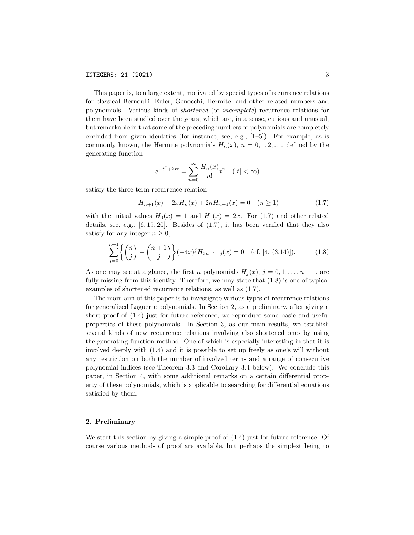This paper is, to a large extent, motivated by special types of recurrence relations for classical Bernoulli, Euler, Genocchi, Hermite, and other related numbers and polynomials. Various kinds of shortened (or incomplete) recurrence relations for them have been studied over the years, which are, in a sense, curious and unusual, but remarkable in that some of the preceding numbers or polynomials are completely excluded from given identities (for instance, see, e.g., [1–5]). For example, as is commonly known, the Hermite polynomials  $H_n(x)$ ,  $n = 0, 1, 2, \ldots$ , defined by the generating function

$$
e^{-t^2+2xt} = \sum_{n=0}^{\infty} \frac{H_n(x)}{n!} t^n \quad (|t| < \infty)
$$

satisfy the three-term recurrence relation

$$
H_{n+1}(x) - 2xH_n(x) + 2nH_{n-1}(x) = 0 \quad (n \ge 1)
$$
\n(1.7)

with the initial values  $H_0(x) = 1$  and  $H_1(x) = 2x$ . For (1.7) and other related details, see, e.g.,  $[6, 19, 20]$ . Besides of  $(1.7)$ , it has been verified that they also satisfy for any integer  $n \geq 0$ ,

$$
\sum_{j=0}^{n+1} \left\{ \binom{n}{j} + \binom{n+1}{j} \right\} (-4x)^j H_{2n+1-j}(x) = 0 \quad \text{(cf. [4, (3.14)]).} \tag{1.8}
$$

As one may see at a glance, the first n polynomials  $H_i(x)$ ,  $j = 0, 1, \ldots, n - 1$ , are fully missing from this identity. Therefore, we may state that (1.8) is one of typical examples of shortened recurrence relations, as well as (1.7).

The main aim of this paper is to investigate various types of recurrence relations for generalized Laguerre polynomials. In Section 2, as a preliminary, after giving a short proof of (1.4) just for future reference, we reproduce some basic and useful properties of these polynomials. In Section 3, as our main results, we establish several kinds of new recurrence relations involving also shortened ones by using the generating function method. One of which is especially interesting in that it is involved deeply with (1.4) and it is possible to set up freely as one's will without any restriction on both the number of involved terms and a range of consecutive polynomial indices (see Theorem 3.3 and Corollary 3.4 below). We conclude this paper, in Section 4, with some additional remarks on a certain differential property of these polynomials, which is applicable to searching for differential equations satisfied by them.

### 2. Preliminary

We start this section by giving a simple proof of (1.4) just for future reference. Of course various methods of proof are available, but perhaps the simplest being to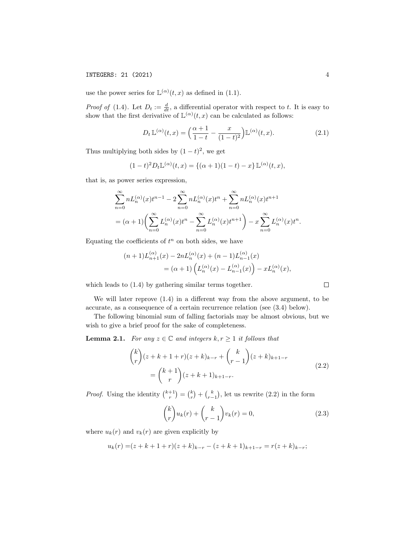use the power series for  $\mathbb{L}^{(\alpha)}(t,x)$  as defined in (1.1).

*Proof of* (1.4). Let  $D_t := \frac{d}{dt}$ , a differential operator with respect to t. It is easy to show that the first derivative of  $\mathbb{L}^{(\alpha)}(t,x)$  can be calculated as follows:

$$
D_t \mathbb{L}^{(\alpha)}(t, x) = \left(\frac{\alpha + 1}{1 - t} - \frac{x}{(1 - t)^2}\right) \mathbb{L}^{(\alpha)}(t, x). \tag{2.1}
$$

Thus multiplying both sides by  $(1-t)^2$ , we get

$$
(1-t)^2 D_t \mathbb{L}^{(\alpha)}(t,x) = \{(\alpha+1)(1-t) - x\} \mathbb{L}^{(\alpha)}(t,x),
$$

that is, as power series expression,

$$
\sum_{n=0}^{\infty} n L_n^{(\alpha)}(x) t^{n-1} - 2 \sum_{n=0}^{\infty} n L_n^{(\alpha)}(x) t^n + \sum_{n=0}^{\infty} n L_n^{(\alpha)}(x) t^{n+1}
$$
  
=  $(\alpha + 1) \left( \sum_{n=0}^{\infty} L_n^{(\alpha)}(x) t^n - \sum_{n=0}^{\infty} L_n^{(\alpha)}(x) t^{n+1} \right) - x \sum_{n=0}^{\infty} L_n^{(\alpha)}(x) t^n.$ 

Equating the coefficients of  $t^n$  on both sides, we have

$$
(n+1)L_{n+1}^{(\alpha)}(x) - 2nL_n^{(\alpha)}(x) + (n-1)L_{n-1}^{(\alpha)}(x)
$$
  
=  $(\alpha+1)\left(L_n^{(\alpha)}(x) - L_{n-1}^{(\alpha)}(x)\right) - xL_n^{(\alpha)}(x),$ 

which leads to (1.4) by gathering similar terms together.

We will later reprove (1.4) in a different way from the above argument, to be accurate, as a consequence of a certain recurrence relation (see (3.4) below).

The following binomial sum of falling factorials may be almost obvious, but we wish to give a brief proof for the sake of completeness.

**Lemma 2.1.** For any  $z \in \mathbb{C}$  and integers  $k, r \geq 1$  it follows that

$$
\binom{k}{r}(z+k+1+r)(z+k)_{k-r} + \binom{k}{r-1}(z+k)_{k+1-r}
$$
\n
$$
= \binom{k+1}{r}(z+k+1)_{k+1-r}.
$$
\n(2.2)

*Proof.* Using the identity  $\binom{k+1}{r} = \binom{k}{r} + \binom{k}{r-1}$ , let us rewrite (2.2) in the form

$$
\binom{k}{r} u_k(r) + \binom{k}{r-1} v_k(r) = 0,\tag{2.3}
$$

where  $u_k(r)$  and  $v_k(r)$  are given explicitly by

$$
u_k(r) = (z + k + 1 + r)(z + k)_{k-r} - (z + k + 1)_{k+1-r} = r(z + k)_{k-r};
$$

 $\Box$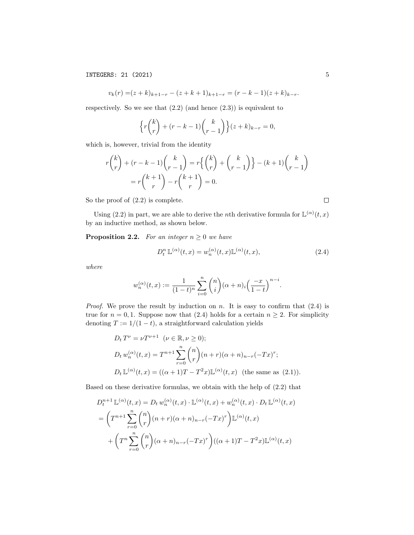$$
v_k(r) = (z+k)_{k+1-r} - (z+k+1)_{k+1-r} = (r-k-1)(z+k)_{k-r}.
$$

respectively. So we see that  $(2.2)$  (and hence  $(2.3)$ ) is equivalent to

$$
\left\{r\binom{k}{r}+(r-k-1)\binom{k}{r-1}\right\}(z+k)_{k-r}=0,
$$

which is, however, trivial from the identity

$$
r{k \choose r} + (r-k-1){k \choose r-1} = r{k \choose r} + {k \choose r-1} - (k+1){k \choose r-1}
$$

$$
= r{k+1 \choose r} - r{k+1 \choose r} = 0.
$$

So the proof of (2.2) is complete.

Using (2.2) in part, we are able to derive the *n*th derivative formula for  $\mathbb{L}^{(\alpha)}(t,x)$ by an inductive method, as shown below.

**Proposition 2.2.** For an integer  $n \geq 0$  we have

$$
D_t^n \mathbb{L}^{(\alpha)}(t,x) = w_n^{(\alpha)}(t,x)\mathbb{L}^{(\alpha)}(t,x),\tag{2.4}
$$

where

$$
w_n^{(\alpha)}(t,x) := \frac{1}{(1-t)^n} \sum_{i=0}^n \binom{n}{i} (\alpha+n)_i \left(\frac{-x}{1-t}\right)^{n-i}.
$$

*Proof.* We prove the result by induction on n. It is easy to confirm that  $(2.4)$  is true for  $n = 0, 1$ . Suppose now that (2.4) holds for a certain  $n \geq 2$ . For simplicity denoting  $T := 1/(1-t)$ , a straightforward calculation yields

$$
D_t T^{\nu} = \nu T^{\nu+1} \quad (\nu \in \mathbb{R}, \nu \ge 0);
$$
  
\n
$$
D_t w_n^{(\alpha)}(t, x) = T^{n+1} \sum_{r=0}^n {n \choose r} (n+r)(\alpha+n)_{n-r}(-Tx)^r;
$$
  
\n
$$
D_t \mathbb{L}^{(\alpha)}(t, x) = ((\alpha+1)T - T^2 x) \mathbb{L}^{(\alpha)}(t, x) \text{ (the same as (2.1))}.
$$

Based on these derivative formulas, we obtain with the help of (2.2) that

$$
D_t^{n+1} \mathbb{L}^{(\alpha)}(t, x) = D_t w_n^{(\alpha)}(t, x) \cdot \mathbb{L}^{(\alpha)}(t, x) + w_n^{(\alpha)}(t, x) \cdot D_t \mathbb{L}^{(\alpha)}(t, x)
$$
  
= 
$$
\left(T^{n+1} \sum_{r=0}^n \binom{n}{r} (n+r)(\alpha+n)_{n-r}(-Tx)^r\right) \mathbb{L}^{(\alpha)}(t, x)
$$
  
+ 
$$
\left(T^n \sum_{r=0}^n \binom{n}{r} (\alpha+n)_{n-r}(-Tx)^r\right) ((\alpha+1)T - T^2x) \mathbb{L}^{(\alpha)}(t, x)
$$

 $\Box$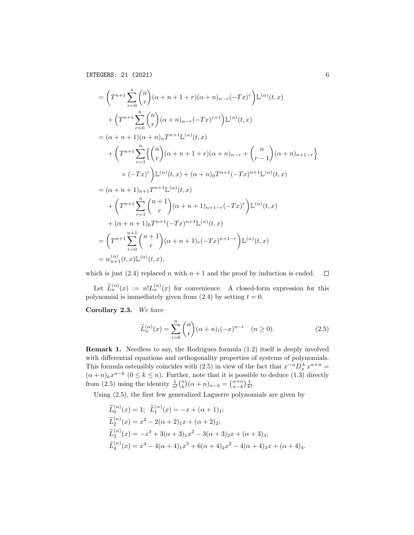$$
= \left(T^{n+1} \sum_{r=0}^{n} {n \choose r} (\alpha + n + 1 + r)(\alpha + n)_{n-r}(-Tx)^r \right) \mathbb{L}^{(\alpha)}(t, x)
$$
  
+ 
$$
\left(T^{n+1} \sum_{r=0}^{n} {n \choose r} (\alpha + n)_{n-r}(-Tx)^{r+1} \right) \mathbb{L}^{(\alpha)}(t, x)
$$
  
= 
$$
(\alpha + n + 1)(\alpha + n)_{n} T^{n+1} \mathbb{L}^{(\alpha)}(t, x)
$$
  
+ 
$$
\left(T^{n+1} \sum_{r=1}^{n} \left\{ {n \choose r} (\alpha + n + 1 + r)(\alpha + n)_{n-r} + {n \choose r-1} (\alpha + n)_{n+1-r} \right\}
$$
  

$$
\times (-Tx)^r \right) \mathbb{L}^{(\alpha)}(t, x) + (\alpha + n)_{0} T^{n+1}(-Tx)^{n+1} \mathbb{L}^{(\alpha)}(t, x)
$$
  
= 
$$
(\alpha + n + 1)_{n+1} T^{n+1} \mathbb{L}^{(\alpha)}(t, x)
$$
  
+ 
$$
\left(T^{n+1} \sum_{r=1}^{n} {n+1 \choose r} (\alpha + n + 1)_{n+1-r}(-Tx)^r \right) \mathbb{L}^{(\alpha)}(t, x)
$$
  
+ 
$$
(\alpha + n + 1)_{0} T^{n+1}(-Tx)^{n+1} \mathbb{L}^{(\alpha)}(t, x)
$$
  
= 
$$
\left(T^{n+1} \sum_{r=0}^{n+1} {n+1 \choose r} (\alpha + n + 1)_{r}(-Tx)^{n+1-r} \right) \mathbb{L}^{(\alpha)}(t, x)
$$
  
= 
$$
w_{n+1}^{(\alpha)}(t, x) \mathbb{L}^{(\alpha)}(t, x),
$$

which is just (2.4) replaced n with  $n + 1$  and the proof by induction is ended.  $\Box$ 

Let  $\widetilde{L}_n^{(\alpha)}(x) := n! L_n^{(\alpha)}(x)$  for convenience. A closed-form expression for this polynomial is immediately given from  $(2.4)$  by setting  $t = 0$ .

Corollary 2.3. We have

$$
\widetilde{L}_n^{(\alpha)}(x) = \sum_{i=0}^n \binom{n}{i} (\alpha + n)_i (-x)^{n-i} \quad (n \ge 0).
$$
\n(2.5)

Remark 1. Needless to say, the Rodrigues formula (1.2) itself is deeply involved with differential equations and orthogonality properties of systems of polynomials. This formula ostensibly coincides with (2.5) in view of the fact that  $x^{-\alpha}D_x^k x^{\alpha+n} =$  $(\alpha + n)_k x^{n-k}$   $(0 \le k \le n)$ . Further, note that it is possible to deduce (1.3) directly from (2.5) using the identity  $\frac{1}{n!} {n \choose k} (\alpha + n)_{n-k} = {\alpha + n \choose n-k} \frac{1}{k!}$ .

Using (2.5), the first few generalized Laguerre polynomials are given by

$$
\widetilde{L}_{0}^{(\alpha)}(x) = 1; \quad \widetilde{L}_{1}^{(\alpha)}(x) = -x + (\alpha + 1)_{1};
$$
\n
$$
\widetilde{L}_{2}^{(\alpha)}(x) = x^{2} - 2(\alpha + 2)_{1}x + (\alpha + 2)_{2};
$$
\n
$$
\widetilde{L}_{3}^{(\alpha)}(x) = -x^{3} + 3(\alpha + 3)_{1}x^{2} - 3(\alpha + 3)_{2}x + (\alpha + 3)_{3};
$$
\n
$$
\widetilde{L}_{4}^{(\alpha)}(x) = x^{4} - 4(\alpha + 4)_{1}x^{3} + 6(\alpha + 4)_{2}x^{2} - 4(\alpha + 4)_{3}x + (\alpha + 4)_{4}.
$$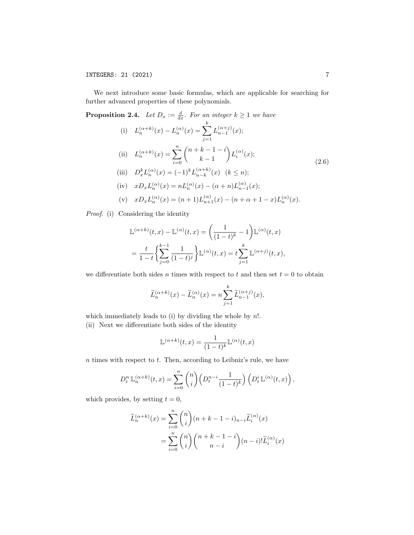We next introduce some basic formulas, which are applicable for searching for further advanced properties of these polynomials.

**Proposition 2.4.** Let  $D_x := \frac{d}{dx}$ . For an integer  $k \ge 1$  we have

(i) 
$$
L_n^{(\alpha+k)}(x) - L_n^{(\alpha)}(x) = \sum_{j=1}^{\kappa} L_{n-1}^{(\alpha+j)}(x);
$$
  
\n(ii)  $L_n^{(\alpha+k)}(x) = \sum_{i=0}^n {n+k-1-i \choose k-1} L_i^{(\alpha)}(x);$   
\n(iii)  $D_x^k L_n^{(\alpha)}(x) = (-1)^k L_{n-k}^{(\alpha+k)}(x) \quad (k \le n);$   
\n(iv)  $x D_x L_n^{(\alpha)}(x) = n L_n^{(\alpha)}(x) - (\alpha + n) L_{n-1}^{(\alpha)}(x);$  (2.6)

(v) 
$$
xD_xL_n^{(\alpha)}(x) = (n+1)L_{n+1}^{(\alpha)}(x) - (n+\alpha+1-x)L_n^{(\alpha)}(x).
$$

Proof. (i) Considering the identity

$$
\mathbb{L}^{(\alpha+k)}(t,x) - \mathbb{L}^{(\alpha)}(t,x) = \left(\frac{1}{(1-t)^k} - 1\right) \mathbb{L}^{(\alpha)}(t,x)
$$

$$
= \frac{t}{1-t} \left\{ \sum_{j=0}^{k-1} \frac{1}{(1-t)^j} \right\} \mathbb{L}^{(\alpha)}(t,x) = t \sum_{j=1}^k \mathbb{L}^{(\alpha+j)}(t,x),
$$

we differentiate both sides n times with respect to t and then set  $t = 0$  to obtain

$$
\widetilde{L}_n^{(\alpha+k)}(x) - \widetilde{L}_n^{(\alpha)}(x) = n \sum_{j=1}^k \widetilde{L}_{n-1}^{(\alpha+j)}(x),
$$

which immediately leads to (i) by dividing the whole by  $n!$ .

(ii) Next we differentiate both sides of the identity

$$
\mathbb{L}^{(\alpha+k)}(t,x) = \frac{1}{(1-t)^k} \mathbb{L}^{(\alpha)}(t,x)
$$

 $n$  times with respect to  $t$ . Then, according to Leibniz's rule, we have

$$
D_t^n \mathbb{L}_n^{(\alpha+k)}(t,x) = \sum_{i=0}^n \binom{n}{i} \left( D_t^{n-i} \frac{1}{(1-t)^k} \right) \left( D_t^i \mathbb{L}^{(\alpha)}(t,x) \right),
$$

which provides, by setting  $t = 0$ ,

$$
\widetilde{L}_{n}^{(\alpha+k)}(x) = \sum_{i=0}^{n} {n \choose i} (n+k-1-i)_{n-i} \widetilde{L}_{i}^{(\alpha)}(x)
$$

$$
= \sum_{i=0}^{n} {n \choose i} {n+k-1-i \choose n-i} (n-i)! \widetilde{L}_{i}^{(\alpha)}(x)
$$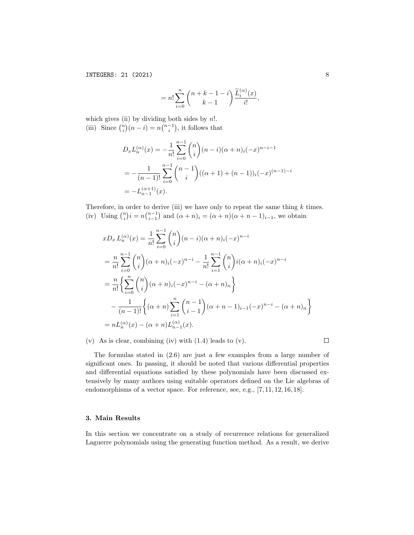$$
= n! \sum_{i=0}^{n} {n+k-1-i \choose k-1} \frac{\widetilde{L}_{i}^{(\alpha)}(x)}{i!},
$$

which gives (ii) by dividing both sides by  $n!$ . (iii) Since  $\binom{n}{i}(n-i) = n\binom{n-1}{i}$ , it follows that

$$
D_x L_n^{(\alpha)}(x) = -\frac{1}{n!} \sum_{i=0}^{n-1} {n \choose i} (n-i)(\alpha+n)_i (-x)^{n-i-1}
$$
  
= 
$$
-\frac{1}{(n-1)!} \sum_{i=0}^{n-1} {n-1 \choose i} ((\alpha+1)+(n-1))_i (-x)^{(n-1)-i}
$$
  
= 
$$
-L_{n-1}^{(\alpha+1)}(x).
$$

Therefore, in order to derive (iii) we have only to repeat the same thing  $k$  times. (iv) Using  $\binom{n}{i} i = n \binom{n-1}{i-1}$  and  $(\alpha + n)_i = (\alpha + n)(\alpha + n - 1)_{i-1}$ , we obtain

$$
xD_x L_n^{(\alpha)}(x) = \frac{1}{n!} \sum_{i=0}^{n-1} {n \choose i} (n-i)(\alpha+n)_i (-x)^{n-i}
$$
  
= 
$$
\frac{n}{n!} \sum_{i=0}^{n-1} {n \choose i} (\alpha+n)_i (-x)^{n-i} - \frac{1}{n!} \sum_{i=1}^{n-1} {n \choose i} i(\alpha+n)_i (-x)^{n-i}
$$
  
= 
$$
\frac{n}{n!} \left\{ \sum_{i=0}^n {n \choose i} (\alpha+n)_i (-x)^{n-i} - (\alpha+n)_n \right\}
$$
  
- 
$$
\frac{1}{(n-1)!} \left\{ (\alpha+n) \sum_{i=1}^n {n-1 \choose i-1} (\alpha+n-1)_{i-1} (-x)^{n-i} - (\alpha+n)_n \right\}
$$
  
= 
$$
nL_n^{(\alpha)}(x) - (\alpha+n)L_{n-1}^{(\alpha)}(x).
$$

(v) As is clear, combining (iv) with (1.4) leads to (v).

 $\Box$ 

The formulas stated in (2.6) are just a few examples from a large number of significant ones. In passing, it should be noted that various differential properties and differential equations satisfied by these polynomials have been discussed extensively by many authors using suitable operators defined on the Lie algebras of endomorphisms of a vector space. For reference, see, e.g., [7, 11, 12, 16, 18].

## 3. Main Results

In this section we concentrate on a study of recurrence relations for generalized Laguerre polynomials using the generating function method. As a result, we derive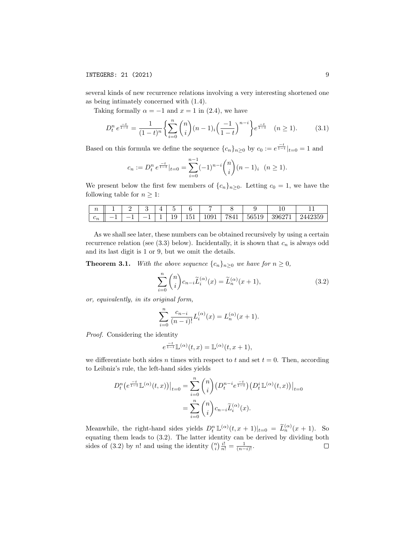several kinds of new recurrence relations involving a very interesting shortened one as being intimately concerned with (1.4).

Taking formally  $\alpha = -1$  and  $x = 1$  in (2.4), we have

$$
D_t^n e^{\frac{-t}{1-t}} = \frac{1}{(1-t)^n} \left\{ \sum_{i=0}^n \binom{n}{i} (n-1)_i \left( \frac{-1}{1-t} \right)^{n-i} \right\} e^{\frac{-t}{1-t}} \quad (n \ge 1). \tag{3.1}
$$

Based on this formula we define the sequence  ${c_n}_{n\geq 0}$  by  $c_0 := e^{\frac{-t}{1-t}}|_{t=0} = 1$  and

$$
c_n := D_t^n e^{\frac{-t}{1-t}} |_{t=0} = \sum_{i=0}^{n-1} (-1)^{n-i} \binom{n}{i} (n-1)_i \quad (n \ge 1).
$$

We present below the first few members of  ${c_n}_{n>0}$ . Letting  $c_0 = 1$ , we have the following table for  $n \geq 1$ :

| $\sim$                |         |                          |   |   | $\sim$ |                       |                |                            |       | <b>.</b>                     | . .              |
|-----------------------|---------|--------------------------|---|---|--------|-----------------------|----------------|----------------------------|-------|------------------------------|------------------|
| ╭<br>$\mathfrak{c}_n$ | __<br>- | $\overline{\phantom{a}}$ | ᅩ | - | ⊥∙     | $\sim$ $\sim$<br>10 T | 091<br>◡◡<br>ᅩ | 7841<br>. .<br>$\check{ }$ | 56519 | 396271<br>JJ'<br>$\check{ }$ | 10950<br>2442355 |

As we shall see later, these numbers can be obtained recursively by using a certain recurrence relation (see  $(3.3)$  below). Incidentally, it is shown that  $c_n$  is always odd and its last digit is 1 or 9, but we omit the details.

**Theorem 3.1.** With the above sequence  $\{c_n\}_{n\geq 0}$  we have for  $n \geq 0$ ,

$$
\sum_{i=0}^{n} \binom{n}{i} c_{n-i} \widetilde{L}_i^{(\alpha)}(x) = \widetilde{L}_n^{(\alpha)}(x+1),\tag{3.2}
$$

or, equivalently, in its original form,

$$
\sum_{i=0}^{n} \frac{c_{n-i}}{(n-i)!} L_i^{(\alpha)}(x) = L_n^{(\alpha)}(x+1).
$$

Proof. Considering the identity

$$
e^{\frac{-t}{1-t}} \mathbb{L}^{(\alpha)}(t,x) = \mathbb{L}^{(\alpha)}(t,x+1),
$$

we differentiate both sides n times with respect to t and set  $t = 0$ . Then, according to Leibniz's rule, the left-hand sides yields

$$
D_t^n\big(e^{\frac{-t}{1-t}}\mathbb{L}^{(\alpha)}(t,x)\big)\big|_{t=0} = \sum_{i=0}^n \binom{n}{i} \big(D_t^{n-i}e^{\frac{-t}{1-t}}\big)\big(D_t^i\mathbb{L}^{(\alpha)}(t,x)\big)\big|_{t=0}
$$

$$
= \sum_{i=0}^n \binom{n}{i} c_{n-i} \widetilde{L}_i^{(\alpha)}(x).
$$

Meanwhile, the right-hand sides yields  $D_t^n \mathbb{L}^{(\alpha)}(t, x+1)|_{t=0} = \widetilde{L}_n^{(\alpha)}(x+1)$ . So equating them leads to (3.2). The latter identity can be derived by dividing both sides of (3.2) by n! and using the identity  $\binom{n}{i} \frac{i!}{n!} = \frac{1}{(n-i)!}$ .  $\Box$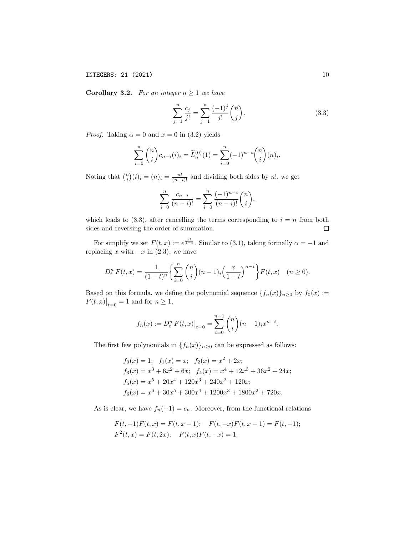**Corollary 3.2.** For an integer  $n \geq 1$  we have

$$
\sum_{j=1}^{n} \frac{c_j}{j!} = \sum_{j=1}^{n} \frac{(-1)^j}{j!} {n \choose j}. \tag{3.3}
$$

*Proof.* Taking  $\alpha = 0$  and  $x = 0$  in (3.2) yields

$$
\sum_{i=0}^{n} {n \choose i} c_{n-i}(i)_i = \widetilde{L}_n^{(0)}(1) = \sum_{i=0}^{n} (-1)^{n-i} {n \choose i} (n)_i.
$$

Noting that  $\binom{n}{i}(i)_i = (n)_i = \frac{n!}{(n-i)!}$  and dividing both sides by n!, we get

$$
\sum_{i=0}^{n} \frac{c_{n-i}}{(n-i)!} = \sum_{i=0}^{n} \frac{(-1)^{n-i}}{(n-i)!} {n \choose i},
$$

which leads to  $(3.3)$ , after cancelling the terms corresponding to  $i = n$  from both sides and reversing the order of summation.  $\Box$ 

For simplify we set  $F(t, x) := e^{\frac{xt}{1-t}}$ . Similar to (3.1), taking formally  $\alpha = -1$  and replacing x with  $-x$  in (2.3), we have

$$
D_t^n F(t, x) = \frac{1}{(1-t)^n} \left\{ \sum_{i=0}^n \binom{n}{i} (n-1)_i \left( \frac{x}{1-t} \right)^{n-i} \right\} F(t, x) \quad (n \ge 0).
$$

Based on this formula, we define the polynomial sequence  $\{f_n(x)\}_{n\geq 0}$  by  $f_0(x) :=$  $F(t, x)|_{t=0} = 1$  and for  $n \ge 1$ ,

$$
f_n(x) := D_t^n F(t, x)|_{t=0} = \sum_{i=0}^{n-1} {n \choose i} (n-1)_{i} x^{n-i}.
$$

The first few polynomials in  $\{f_n(x)\}_{n\geq 0}$  can be expressed as follows:

$$
f_0(x) = 1; \quad f_1(x) = x; \quad f_2(x) = x^2 + 2x; \n f_3(x) = x^3 + 6x^2 + 6x; \quad f_4(x) = x^4 + 12x^3 + 36x^2 + 24x; \n f_5(x) = x^5 + 20x^4 + 120x^3 + 240x^2 + 120x; \n f_6(x) = x^6 + 30x^5 + 300x^4 + 1200x^3 + 1800x^2 + 720x.
$$

As is clear, we have  $f_n(-1) = c_n$ . Moreover, from the functional relations

$$
F(t, -1)F(t, x) = F(t, x - 1); \quad F(t, -x)F(t, x - 1) = F(t, -1);
$$
  

$$
F^{2}(t, x) = F(t, 2x); \quad F(t, x)F(t, -x) = 1,
$$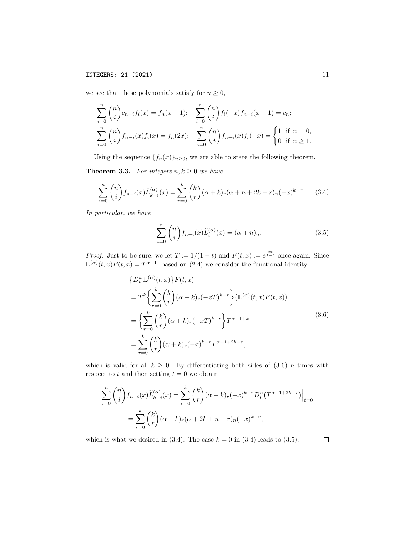we see that these polynomials satisfy for  $n\geq 0,$ 

$$
\sum_{i=0}^{n} {n \choose i} c_{n-i} f_i(x) = f_n(x-1); \quad \sum_{i=0}^{n} {n \choose i} f_i(-x) f_{n-i}(x-1) = c_n;
$$
  

$$
\sum_{i=0}^{n} {n \choose i} f_{n-i}(x) f_i(x) = f_n(2x); \quad \sum_{i=0}^{n} {n \choose i} f_{n-i}(x) f_i(-x) = \begin{cases} 1 & \text{if } n = 0, \\ 0 & \text{if } n \ge 1. \end{cases}
$$

Using the sequence  $\{f_n(x)\}_{n\geq 0}$ , we are able to state the following theorem.

**Theorem 3.3.** For integers  $n, k \geq 0$  we have

$$
\sum_{i=0}^{n} \binom{n}{i} f_{n-i}(x) \widetilde{L}_{k+i}^{(\alpha)}(x) = \sum_{r=0}^{k} \binom{k}{r} (\alpha+k)_r (\alpha+n+2k-r)_n (-x)^{k-r}.\tag{3.4}
$$

In particular, we have

$$
\sum_{i=0}^{n} \binom{n}{i} f_{n-i}(x) \widetilde{L}_i^{(\alpha)}(x) = (\alpha + n)_n.
$$
 (3.5)

*Proof.* Just to be sure, we let  $T := 1/(1-t)$  and  $F(t, x) := e^{\frac{x t}{1-t}}$  once again. Since  $\mathbb{L}^{(\alpha)}(t,x)F(t,x) = T^{\alpha+1}$ , based on (2.4) we consider the functional identity

$$
\{D_t^k \mathbb{L}^{(\alpha)}(t,x)\} F(t,x)
$$
  
=  $T^k \left\{ \sum_{r=0}^k {k \choose r} (\alpha+k)_r (-xT)^{k-r} \right\} (\mathbb{L}^{(\alpha)}(t,x)F(t,x))$   
=  $\left\{ \sum_{r=0}^k {k \choose r} (\alpha+k)_r (-xT)^{k-r} \right\} T^{\alpha+1+k}$   
=  $\sum_{r=0}^k {k \choose r} (\alpha+k)_r (-x)^{k-r} T^{\alpha+1+2k-r},$  (3.6)

which is valid for all  $k \geq 0$ . By differentiating both sides of (3.6) *n* times with respect to  $t$  and then setting  $t = 0$  we obtain

$$
\sum_{i=0}^{n} \binom{n}{i} f_{n-i}(x) \widetilde{L}_{k+i}^{(\alpha)}(x) = \sum_{r=0}^{k} \binom{k}{r} (\alpha + k)_r (-x)^{k-r} D_t^n (T^{\alpha+1+2k-r}) \Big|_{t=0}
$$
  
= 
$$
\sum_{r=0}^{k} \binom{k}{r} (\alpha + k)_r (\alpha + 2k + n - r)_n (-x)^{k-r},
$$

which is what we desired in  $(3.4)$ . The case  $k = 0$  in  $(3.4)$  leads to  $(3.5)$ .  $\Box$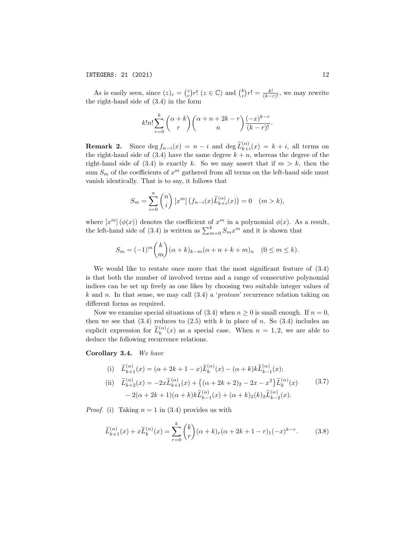As is easily seen, since  $(z)_r = \binom{z}{r} r!$   $(z \in \mathbb{C})$  and  $\binom{k}{r} r! = \frac{k!}{(k-r)!}$ , we may rewrite the right-hand side of (3.4) in the form

$$
k!n! \sum_{r=0}^{k} {\binom{\alpha+k}{r}} {\binom{\alpha+n+2k-r}{n}} \frac{(-x)^{k-r}}{(k-r)!}.
$$

**Remark 2.** Since  $\deg f_{n-i}(x) = n-i$  and  $\deg \widetilde{L}_{k+i}^{(\alpha)}(x) = k+i$ , all terms on the right-hand side of  $(3.4)$  have the same degree  $k + n$ , whereas the degree of the right-hand side of (3.4) is exactly k. So we may assert that if  $m > k$ , then the sum  $S_m$  of the coefficients of  $x^m$  gathered from all terms on the left-hand side must vanish identically. That is to say, it follows that

$$
S_m = \sum_{i=0}^n \binom{n}{i} \left[ x^m \right] \left( f_{n-i}(x) \widetilde{L}_{k+i}^{(\alpha)}(x) \right) = 0 \quad (m > k),
$$

where  $[x^m](\phi(x))$  denotes the coefficient of  $x^m$  in a polynomial  $\phi(x)$ . As a result, the left-hand side of (3.4) is written as  $\sum_{m=0}^{k} S_m x^m$  and it is shown that

$$
S_m = (-1)^m \binom{k}{m} (\alpha + k)_{k-m} (\alpha + n + k + m)_n \quad (0 \le m \le k).
$$

We would like to restate once more that the most significant feature of (3.4) is that both the number of involved terms and a range of consecutive polynomial indices can be set up freely as one likes by choosing two suitable integer values of k and n. In that sense, we may call  $(3.4)$  a 'protean' recurrence relation taking on different forms as required.

Now we examine special situations of (3.4) when  $n \geq 0$  is small enough. If  $n = 0$ , then we see that  $(3.4)$  reduces to  $(2.5)$  with k in place of n. So  $(3.4)$  includes an explicit expression for  $\tilde{L}_{k}^{(\alpha)}(x)$  as a special case. When  $n = 1, 2$ , we are able to deduce the following recurrence relations.

Corollary 3.4. We have

(i) 
$$
\widetilde{L}_{k+1}^{(\alpha)}(x) = (\alpha + 2k + 1 - x)\widetilde{L}_k^{(\alpha)}(x) - (\alpha + k)k\widetilde{L}_{k-1}^{(\alpha)}(x);
$$
  
\n(ii) 
$$
\widetilde{L}_{k+2}^{(\alpha)}(x) = -2x\widetilde{L}_{k+1}^{(\alpha)}(x) + \{(\alpha + 2k + 2)_2 - 2x - x^2\}\widetilde{L}_k^{(\alpha)}(x) - 2(\alpha + 2k + 1)(\alpha + k)k\widetilde{L}_{k-1}^{(\alpha)}(x) + (\alpha + k)_2(k)_2\widetilde{L}_{k-2}^{(\alpha)}(x).
$$
\n(3.7)

*Proof.* (i) Taking  $n = 1$  in (3.4) provides us with

$$
\widetilde{L}_{k+1}^{(\alpha)}(x) + x \widetilde{L}_k^{(\alpha)}(x) = \sum_{r=0}^k {k \choose r} (\alpha + k)_r (\alpha + 2k + 1 - r)_1 (-x)^{k-r}.
$$
 (3.8)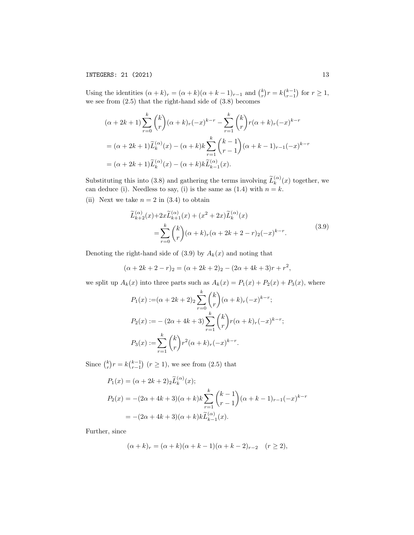Using the identities  $(\alpha + k)_r = (\alpha + k)(\alpha + k - 1)_{r-1}$  and  $\binom{k}{r}r = k\binom{k-1}{r-1}$  for  $r \ge 1$ , we see from (2.5) that the right-hand side of (3.8) becomes

$$
(\alpha + 2k + 1) \sum_{r=0}^{k} {k \choose r} (\alpha + k)_r (-x)^{k-r} - \sum_{r=1}^{k} {k \choose r} r(\alpha + k)_r (-x)^{k-r}
$$
  
=  $(\alpha + 2k + 1) \widetilde{L}_k^{(\alpha)}(x) - (\alpha + k)k \sum_{r=1}^{k} {k-1 \choose r-1} (\alpha + k - 1)_{r-1} (-x)^{k-r}$   
=  $(\alpha + 2k + 1) \widetilde{L}_k^{(\alpha)}(x) - (\alpha + k)k \widetilde{L}_{k-1}^{(\alpha)}(x).$ 

Substituting this into (3.8) and gathering the terms involving  $\widetilde{L}_{k}^{(\alpha)}(x)$  together, we can deduce (i). Needless to say, (i) is the same as  $(1.4)$  with  $n = k$ .

(ii) Next we take  $n = 2$  in  $(3.4)$  to obtain

$$
\widetilde{L}_{k+2}^{(\alpha)}(x) + 2x \widetilde{L}_{k+1}^{(\alpha)}(x) + (x^2 + 2x) \widetilde{L}_k^{(\alpha)}(x) \n= \sum_{r=0}^k {k \choose r} (\alpha + k)_r (\alpha + 2k + 2 - r)_2 (-x)^{k-r}.
$$
\n(3.9)

Denoting the right-hand side of  $(3.9)$  by  $A_k(x)$  and noting that

$$
(\alpha + 2k + 2 - r)_2 = (\alpha + 2k + 2)_2 - (2\alpha + 4k + 3)r + r^2,
$$

we split up  $A_k(x)$  into three parts such as  $A_k(x) = P_1(x) + P_2(x) + P_3(x)$ , where

$$
P_1(x) := (\alpha + 2k + 2) \sum_{r=0}^k {k \choose r} (\alpha + k)_r (-x)^{k-r};
$$
  
\n
$$
P_2(x) := -(2\alpha + 4k + 3) \sum_{r=1}^k {k \choose r} r(\alpha + k)_r (-x)^{k-r};
$$
  
\n
$$
P_3(x) := \sum_{r=1}^k {k \choose r} r^2 (\alpha + k)_r (-x)^{k-r}.
$$

Since  $\binom{k}{r} r = k \binom{k-1}{r-1}$   $(r \ge 1)$ , we see from (2.5) that

$$
P_1(x) = (\alpha + 2k + 2)_2 \widetilde{L}_k^{(\alpha)}(x);
$$
  
\n
$$
P_2(x) = -(2\alpha + 4k + 3)(\alpha + k)k \sum_{r=1}^k {k-1 \choose r-1} (\alpha + k - 1)_{r-1}(-x)^{k-r}
$$
  
\n
$$
= -(2\alpha + 4k + 3)(\alpha + k)k \widetilde{L}_{k-1}^{(\alpha)}(x).
$$

Further, since

$$
(\alpha + k)_r = (\alpha + k)(\alpha + k - 1)(\alpha + k - 2)_{r-2} \quad (r \ge 2),
$$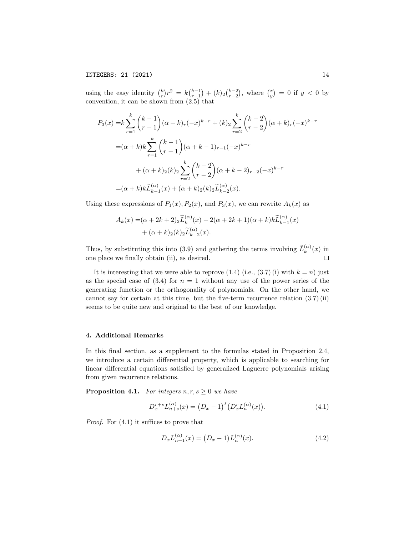using the easy identity  $\binom{k}{r}r^2 = k\binom{k-1}{r-1} + (k)_2\binom{k-2}{r-2}$ , where  $\binom{x}{y} = 0$  if  $y < 0$  by convention, it can be shown from (2.5) that

$$
P_3(x) = k \sum_{r=1}^k {k-1 \choose r-1} (\alpha + k)_r (-x)^{k-r} + (k)_2 \sum_{r=2}^k {k-2 \choose r-2} (\alpha + k)_r (-x)^{k-r}
$$
  

$$
= (\alpha + k)k \sum_{r=1}^k {k-1 \choose r-1} (\alpha + k - 1)_{r-1} (-x)^{k-r}
$$
  

$$
+ (\alpha + k)_2 (k)_2 \sum_{r=2}^k {k-2 \choose r-2} (\alpha + k - 2)_{r-2} (-x)^{k-r}
$$
  

$$
= (\alpha + k)k \widetilde{L}_{k-1}^{(\alpha)}(x) + (\alpha + k)_2 (k)_2 \widetilde{L}_{k-2}^{(\alpha)}(x).
$$

Using these expressions of  $P_1(x)$ ,  $P_2(x)$ , and  $P_3(x)$ , we can rewrite  $A_k(x)$  as

$$
A_k(x) = (\alpha + 2k + 2)2 \widetilde{L}_k^{(\alpha)}(x) - 2(\alpha + 2k + 1)(\alpha + k)k \widetilde{L}_{k-1}^{(\alpha)}(x) + (\alpha + k)2(k)2 \widetilde{L}_{k-2}^{(\alpha)}(x).
$$

Thus, by substituting this into (3.9) and gathering the terms involving  $\tilde{L}_k^{(\alpha)}(x)$  in one place we finally obtain (ii), as desired.  $\Box$ 

It is interesting that we were able to reprove  $(1.4)$  (i.e.,  $(3.7)$  (i) with  $k = n$ ) just as the special case of  $(3.4)$  for  $n = 1$  without any use of the power series of the generating function or the orthogonality of polynomials. On the other hand, we cannot say for certain at this time, but the five-term recurrence relation  $(3.7)$  (ii) seems to be quite new and original to the best of our knowledge.

### 4. Additional Remarks

In this final section, as a supplement to the formulas stated in Proposition 2.4, we introduce a certain differential property, which is applicable to searching for linear differential equations satisfied by generalized Laguerre polynomials arising from given recurrence relations.

**Proposition 4.1.** For integers  $n, r, s \geq 0$  we have

$$
D_x^{r+s} L_{n+s}^{(\alpha)}(x) = (D_x - 1)^s (D_x^r L_n^{(\alpha)}(x)).
$$
\n(4.1)

Proof. For  $(4.1)$  it suffices to prove that

$$
D_x L_{n+1}^{(\alpha)}(x) = (D_x - 1) L_n^{(\alpha)}(x).
$$
 (4.2)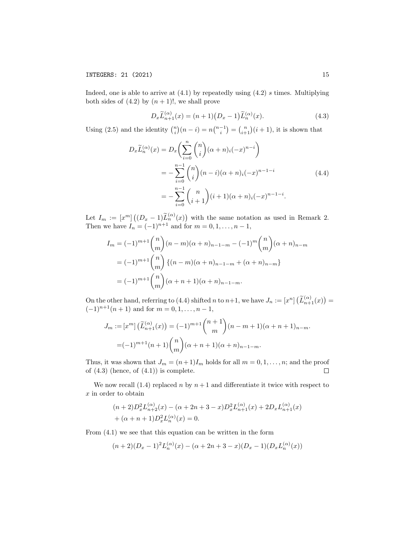Indeed, one is able to arrive at  $(4.1)$  by repeatedly using  $(4.2)$  s times. Multiplying both sides of  $(4.2)$  by  $(n + 1)!$ , we shall prove

$$
D_x \tilde{L}_{n+1}^{(\alpha)}(x) = (n+1)(D_x - 1)\tilde{L}_n^{(\alpha)}(x).
$$
 (4.3)

Using (2.5) and the identity  $\binom{n}{i}(n-i) = n\binom{n-1}{i} = \binom{n}{i+1}(i+1)$ , it is shown that

$$
D_x \widetilde{L}_n^{(\alpha)}(x) = D_x \left( \sum_{i=0}^n {n \choose i} (\alpha + n)_i (-x)^{n-i} \right)
$$
  
= 
$$
-\sum_{i=0}^{n-1} {n \choose i} (n-i)(\alpha + n)_i (-x)^{n-1-i}
$$
  
= 
$$
-\sum_{i=0}^{n-1} {n \choose i+1} (i+1)(\alpha + n)_i (-x)^{n-1-i}.
$$
 (4.4)

Let  $I_m := [x^m] ((D_x - 1) \widetilde{L}_n^{(\alpha)}(x))$  with the same notation as used in Remark 2. Then we have  $I_n = (-1)^{n+1}$  and for  $m = 0, 1, ..., n - 1$ ,

$$
I_m = (-1)^{m+1} \binom{n}{m} (n-m)(\alpha+n)_{n-1-m} - (-1)^m \binom{n}{m} (\alpha+n)_{n-m}
$$
  
=  $(-1)^{m+1} \binom{n}{m} \{(n-m)(\alpha+n)_{n-1-m} + (\alpha+n)_{n-m}\}$   
=  $(-1)^{m+1} \binom{n}{m} (\alpha+n+1)(\alpha+n)_{n-1-m}.$ 

On the other hand, referring to (4.4) shifted *n* to  $n+1$ , we have  $J_n := [x^n] \left( \widetilde{L}_{n+1}^{(\alpha)}(x) \right) =$  $(-1)^{n+1}(n+1)$  and for  $m = 0, 1, \ldots, n-1$ ,

$$
J_m := [x^m] \left( \tilde{L}_{n+1}^{(\alpha)}(x) \right) = (-1)^{m+1} {n+1 \choose m} (n-m+1)(\alpha+n+1)_{n-m}.
$$
  
=  $(-1)^{m+1}(n+1){n \choose m} (\alpha+n+1)(\alpha+n)_{n-1-m}.$ 

Thus, it was shown that  $J_m = (n+1)I_m$  holds for all  $m = 0, 1, \ldots, n$ ; and the proof of  $(4.3)$  (hence, of  $(4.1)$ ) is complete.  $\Box$ 

We now recall (1.4) replaced n by  $n+1$  and differentiate it twice with respect to x in order to obtain

$$
(n+2)D_x^2 L_{n+2}^{(\alpha)}(x) - (\alpha + 2n + 3 - x)D_x^2 L_{n+1}^{(\alpha)}(x) + 2D_x L_{n+1}^{(\alpha)}(x) + (\alpha + n + 1)D_x^2 L_n^{(\alpha)}(x) = 0.
$$

From (4.1) we see that this equation can be written in the form

$$
(n+2)(D_x-1)^2 L_n^{(\alpha)}(x) - (\alpha+2n+3-x)(D_x-1)(D_xL_n^{(\alpha)}(x))
$$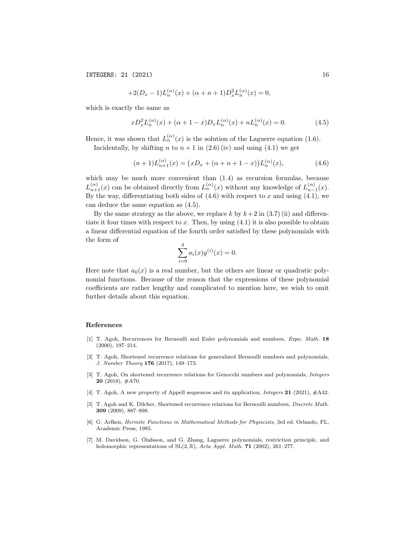$$
+2(D_x-1)L_n^{(\alpha)}(x) + (\alpha + n + 1)D_x^2L_n^{(\alpha)}(x) = 0,
$$

which is exactly the same as

$$
xD_x^2 L_n^{(\alpha)}(x) + (\alpha + 1 - x)D_x L_n^{(\alpha)}(x) + nL_n^{(\alpha)}(x) = 0.
$$
 (4.5)

Hence, it was shown that  $L_n^{(\alpha)}(x)$  is the solution of the Laguerre equation (1.6).

Incidentally, by shifting n to  $n + 1$  in (2.6) (iv) and using (4.1) we get

$$
(n+1)L_{n+1}^{(\alpha)}(x) = (xD_x + (\alpha + n + 1 - x))L_n^{(\alpha)}(x),
$$
\n(4.6)

which may be much more convenient than  $(1.4)$  as recursion formulas, because  $L_{n+1}^{(\alpha)}(x)$  can be obtained directly from  $L_n^{(\alpha)}(x)$  without any knowledge of  $L_{n-1}^{(\alpha)}(x)$ . By the way, differentiating both sides of  $(4.6)$  with respect to x and using  $(4.1)$ , we can deduce the same equation as (4.5).

By the same strategy as the above, we replace k by  $k+2$  in  $(3.7)$  (ii) and differentiate it four times with respect to x. Then, by using  $(4.1)$  it is also possible to obtain a linear differential equation of the fourth order satisfied by these polynomials with the form of

$$
\sum_{i=0}^{4} a_i(x) y^{(i)}(x) = 0.
$$

Here note that  $a_0(x)$  is a real number, but the others are linear or quadratic polynomial functions. Because of the reason that the expressions of these polynomial coefficients are rather lengthy and complicated to mention here, we wish to omit further details about this equation.

#### References

- [1] T. Agoh, Recurrences for Bernoulli and Euler polynomials and numbers, Expo. Math. 18 (2000), 197–214.
- [2] T. Agoh, Shortened recurrence relations for generalized Bernoulli numbers and polynomials, J. Number Theory 176 (2017), 149–173.
- [3] T. Agoh, On shortened recurrence relations for Genocchi numbers and polynomials, Integers  $20$  (2018),  $\#A70$ .
- [4] T. Agoh, A new property of Appell sequences and its application, *Integers* 21 (2021), #A42.
- [5] T. Agoh and K. Dilcher, Shortened recurrence relations for Bernoulli numbers, *Discrete Math.* 309 (2009), 887–898.
- [6] G. Arfken, Hermite Functions in Mathematical Methods for Physicists, 3rd ed. Orlando, FL, Academic Press, 1985.
- [7] M. Davidson, G. Olafsson, and G. Zhang, Laguerre polynomials, restriction principle, and ´ holomorphic representations of  $SL(2, \mathbb{R})$ , Acta Appl. Math. 71 (2002), 261-277.